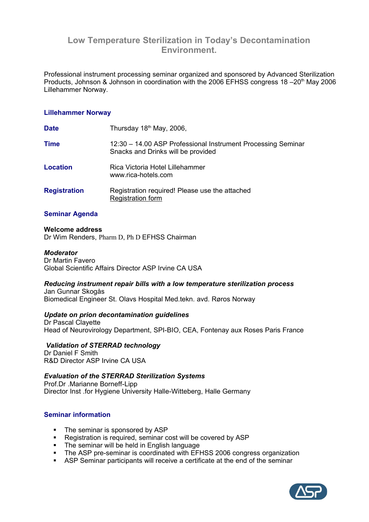# **Low Temperature Sterilization in Today's Decontamination Environment.**

Professional instrument processing seminar organized and sponsored by Advanced Sterilization Products, Johnson & Johnson in coordination with the 2006 EFHSS congress 18 -20<sup>th</sup> May 2006 Lillehammer Norway.

### **Lillehammer Norway**

| <b>Date</b>         | Thursday 18 <sup>th</sup> May, 2006,                                                               |
|---------------------|----------------------------------------------------------------------------------------------------|
| <b>Time</b>         | 12:30 - 14.00 ASP Professional Instrument Processing Seminar<br>Snacks and Drinks will be provided |
| <b>Location</b>     | Rica Victoria Hotel Lillehammer<br>www.rica-hotels.com                                             |
| <b>Registration</b> | Registration required! Please use the attached<br><b>Registration form</b>                         |

## **Seminar Agenda**

#### **Welcome address**

Dr Wim Renders, Pharm D, Ph D EFHSS Chairman

#### *Moderator*

Dr Martin Favero Global Scientific Affairs Director ASP Irvine CA USA

# *Reducing instrument repair bills with a low temperature sterilization process*

Jan Gunnar Skogås Biomedical Engineer St. Olavs Hospital Med.tekn. avd. Røros Norway

#### *Update on prion decontamination guidelines*

Dr Pascal Clayette Head of Neurovirology Department, SPI-BIO, CEA, Fontenay aux Roses Paris France

# *Validation of STERRAD technology*

Dr Daniel F Smith R&D Director ASP Irvine CA USA

### *Evaluation of the STERRAD Sterilization Systems*

Prof.Dr .Marianne Borneff-Lipp Director Inst .for Hygiene University Halle-Witteberg, Halle Germany

# **Seminar information**

- The seminar is sponsored by ASP
- Registration is required, seminar cost will be covered by ASP
- The seminar will be held in English language
- The ASP pre-seminar is coordinated with EFHSS 2006 congress organization
- ASP Seminar participants will receive a certificate at the end of the seminar